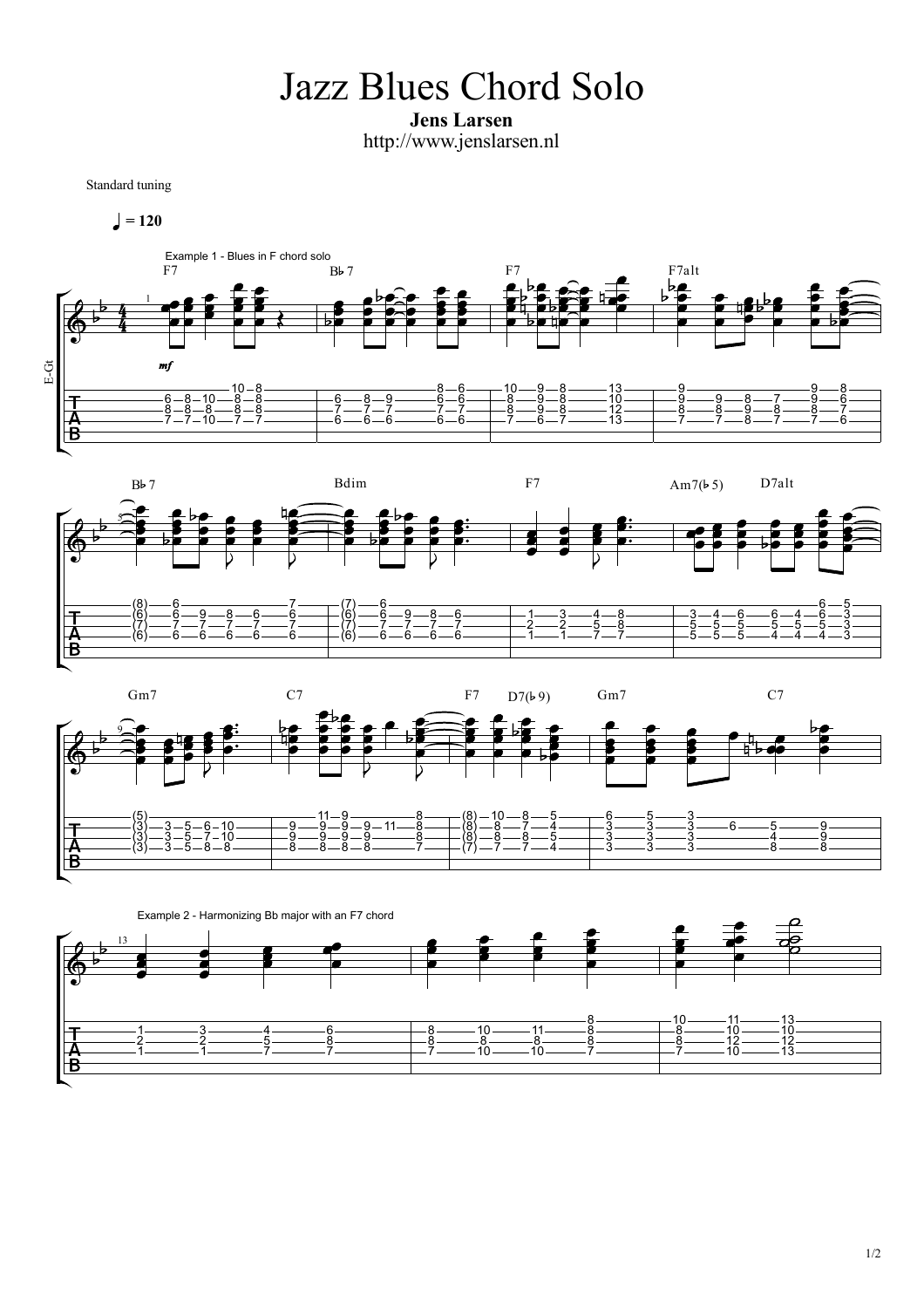Jazz Blues Chord Solo

Jens Larsen http://www.jenslarsen.nl

Standard tuning

$$
\blacktriangleleft=120
$$







Example 2 - Harmonizing Bb major with an F7 chord